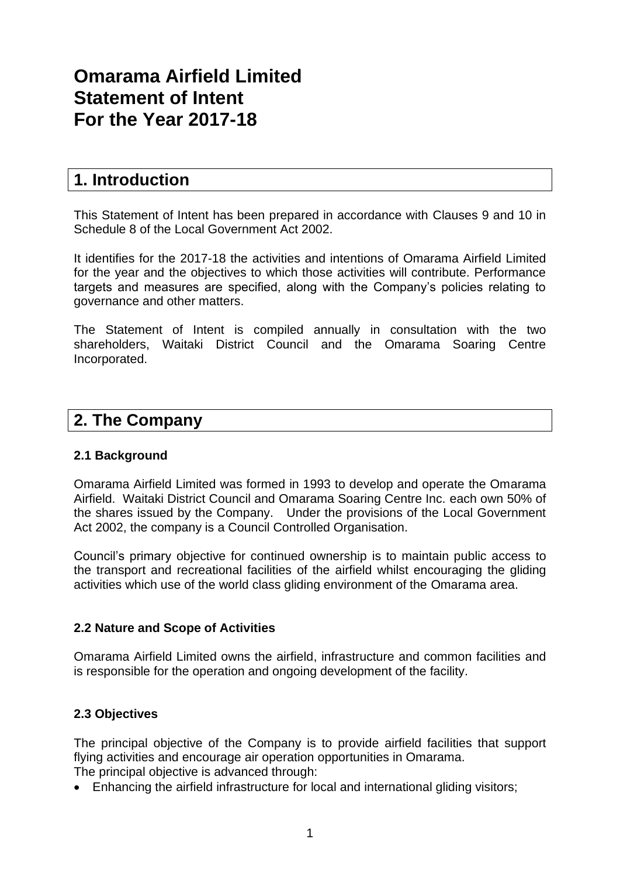# **Omarama Airfield Limited Statement of Intent For the Year 2017-18**

## **1. Introduction**

This Statement of Intent has been prepared in accordance with Clauses 9 and 10 in Schedule 8 of the Local Government Act 2002.

It identifies for the 2017-18 the activities and intentions of Omarama Airfield Limited for the year and the objectives to which those activities will contribute. Performance targets and measures are specified, along with the Company's policies relating to governance and other matters.

The Statement of Intent is compiled annually in consultation with the two shareholders, Waitaki District Council and the Omarama Soaring Centre Incorporated.

## **2. The Company**

## **2.1 Background**

Omarama Airfield Limited was formed in 1993 to develop and operate the Omarama Airfield. Waitaki District Council and Omarama Soaring Centre Inc. each own 50% of the shares issued by the Company. Under the provisions of the Local Government Act 2002, the company is a Council Controlled Organisation.

Council's primary objective for continued ownership is to maintain public access to the transport and recreational facilities of the airfield whilst encouraging the gliding activities which use of the world class gliding environment of the Omarama area.

## **2.2 Nature and Scope of Activities**

Omarama Airfield Limited owns the airfield, infrastructure and common facilities and is responsible for the operation and ongoing development of the facility.

## **2.3 Objectives**

The principal objective of the Company is to provide airfield facilities that support flying activities and encourage air operation opportunities in Omarama. The principal objective is advanced through:

• Enhancing the airfield infrastructure for local and international gliding visitors;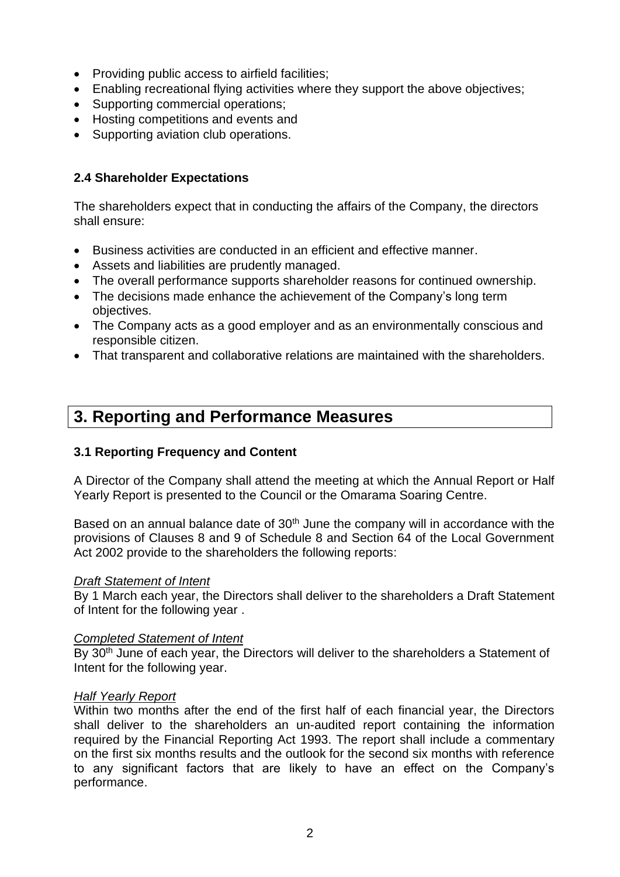- Providing public access to airfield facilities;
- Enabling recreational flying activities where they support the above objectives;
- Supporting commercial operations;
- Hosting competitions and events and
- Supporting aviation club operations.

## **2.4 Shareholder Expectations**

The shareholders expect that in conducting the affairs of the Company, the directors shall ensure:

- Business activities are conducted in an efficient and effective manner.
- Assets and liabilities are prudently managed.
- The overall performance supports shareholder reasons for continued ownership.
- The decisions made enhance the achievement of the Company's long term objectives.
- The Company acts as a good employer and as an environmentally conscious and responsible citizen.
- That transparent and collaborative relations are maintained with the shareholders.

## **3. Reporting and Performance Measures**

## **3.1 Reporting Frequency and Content**

A Director of the Company shall attend the meeting at which the Annual Report or Half Yearly Report is presented to the Council or the Omarama Soaring Centre.

Based on an annual balance date of 30<sup>th</sup> June the company will in accordance with the provisions of Clauses 8 and 9 of Schedule 8 and Section 64 of the Local Government Act 2002 provide to the shareholders the following reports:

## *Draft Statement of Intent*

By 1 March each year, the Directors shall deliver to the shareholders a Draft Statement of Intent for the following year .

## *Completed Statement of Intent*

By 30<sup>th</sup> June of each year, the Directors will deliver to the shareholders a Statement of Intent for the following year.

## *Half Yearly Report*

Within two months after the end of the first half of each financial year, the Directors shall deliver to the shareholders an un-audited report containing the information required by the Financial Reporting Act 1993. The report shall include a commentary on the first six months results and the outlook for the second six months with reference to any significant factors that are likely to have an effect on the Company's performance.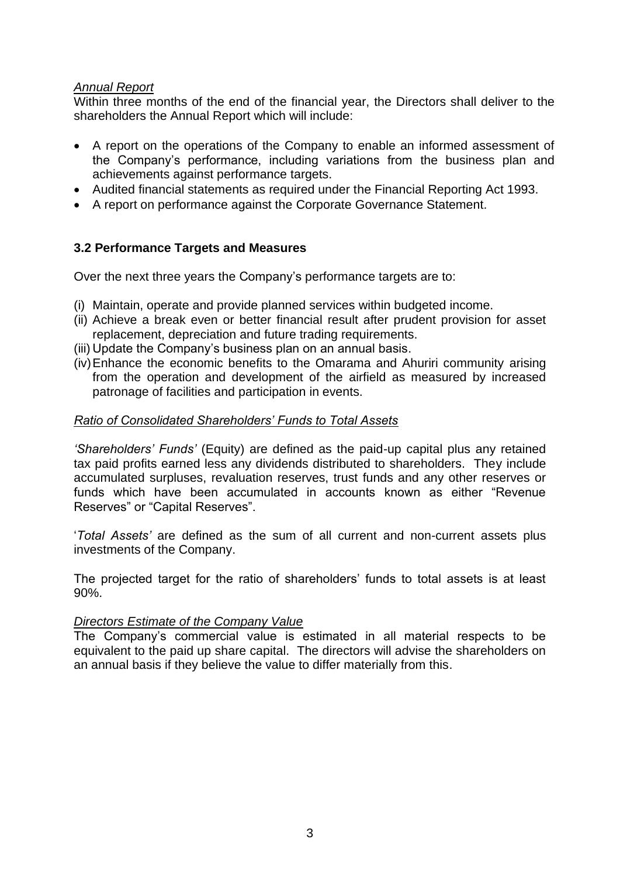## *Annual Report*

Within three months of the end of the financial year, the Directors shall deliver to the shareholders the Annual Report which will include:

- A report on the operations of the Company to enable an informed assessment of the Company's performance, including variations from the business plan and achievements against performance targets.
- Audited financial statements as required under the Financial Reporting Act 1993.
- A report on performance against the Corporate Governance Statement.

## **3.2 Performance Targets and Measures**

Over the next three years the Company's performance targets are to:

- (i) Maintain, operate and provide planned services within budgeted income.
- (ii) Achieve a break even or better financial result after prudent provision for asset replacement, depreciation and future trading requirements.
- (iii) Update the Company's business plan on an annual basis.
- (iv)Enhance the economic benefits to the Omarama and Ahuriri community arising from the operation and development of the airfield as measured by increased patronage of facilities and participation in events.

## *Ratio of Consolidated Shareholders' Funds to Total Assets*

*'Shareholders' Funds'* (Equity) are defined as the paid-up capital plus any retained tax paid profits earned less any dividends distributed to shareholders. They include accumulated surpluses, revaluation reserves, trust funds and any other reserves or funds which have been accumulated in accounts known as either "Revenue Reserves" or "Capital Reserves".

'*Total Assets'* are defined as the sum of all current and non-current assets plus investments of the Company.

The projected target for the ratio of shareholders' funds to total assets is at least 90%.

#### *Directors Estimate of the Company Value*

The Company's commercial value is estimated in all material respects to be equivalent to the paid up share capital. The directors will advise the shareholders on an annual basis if they believe the value to differ materially from this.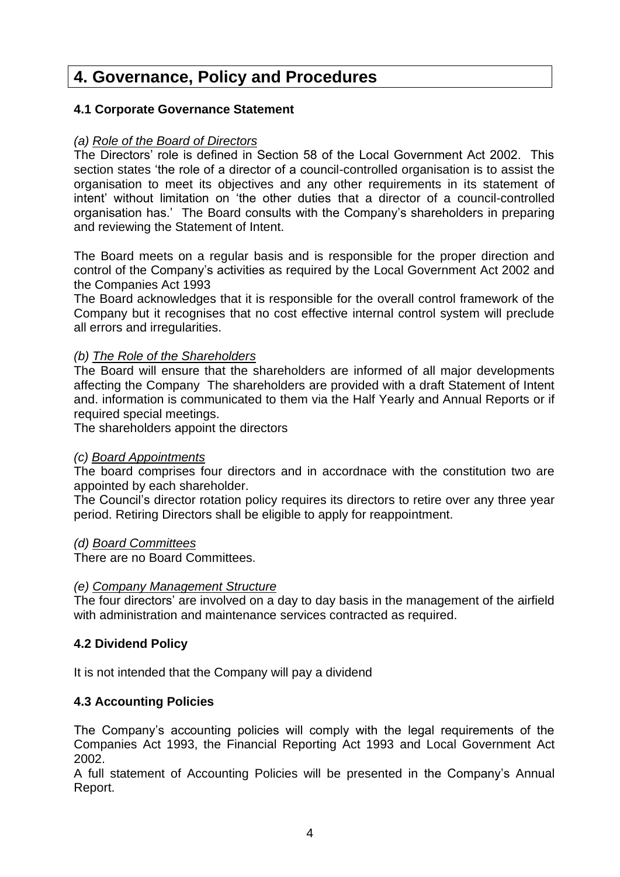## **4. Governance, Policy and Procedures**

## **4.1 Corporate Governance Statement**

## *(a) Role of the Board of Directors*

The Directors' role is defined in Section 58 of the Local Government Act 2002. This section states 'the role of a director of a council-controlled organisation is to assist the organisation to meet its objectives and any other requirements in its statement of intent' without limitation on 'the other duties that a director of a council-controlled organisation has.' The Board consults with the Company's shareholders in preparing and reviewing the Statement of Intent.

The Board meets on a regular basis and is responsible for the proper direction and control of the Company's activities as required by the Local Government Act 2002 and the Companies Act 1993

The Board acknowledges that it is responsible for the overall control framework of the Company but it recognises that no cost effective internal control system will preclude all errors and irregularities.

## *(b) The Role of the Shareholders*

The Board will ensure that the shareholders are informed of all major developments affecting the Company The shareholders are provided with a draft Statement of Intent and. information is communicated to them via the Half Yearly and Annual Reports or if required special meetings.

The shareholders appoint the directors

## *(c) Board Appointments*

The board comprises four directors and in accordnace with the constitution two are appointed by each shareholder.

The Council's director rotation policy requires its directors to retire over any three year period. Retiring Directors shall be eligible to apply for reappointment.

## *(d) Board Committees*

There are no Board Committees.

#### *(e) Company Management Structure*

The four directors' are involved on a day to day basis in the management of the airfield with administration and maintenance services contracted as required.

## **4.2 Dividend Policy**

It is not intended that the Company will pay a dividend

## **4.3 Accounting Policies**

The Company's accounting policies will comply with the legal requirements of the Companies Act 1993, the Financial Reporting Act 1993 and Local Government Act 2002.

A full statement of Accounting Policies will be presented in the Company's Annual Report.